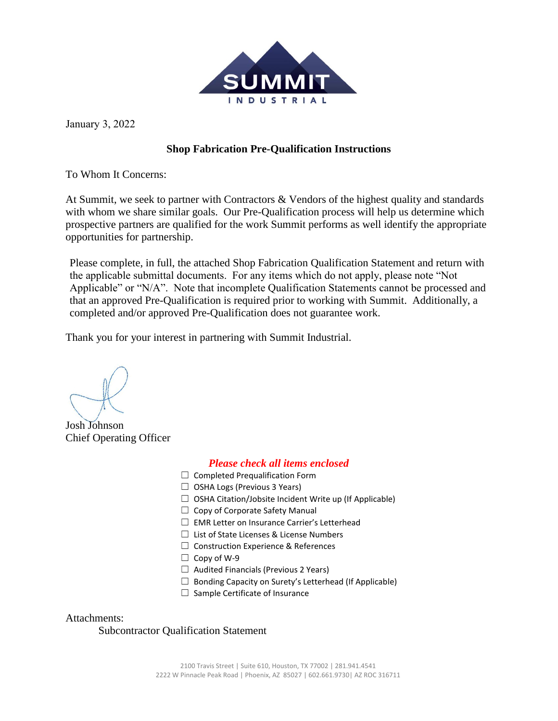

January 3, 2022

## **Shop Fabrication Pre-Qualification Instructions**

To Whom It Concerns:

At Summit, we seek to partner with Contractors  $\&$  Vendors of the highest quality and standards with whom we share similar goals. Our Pre-Qualification process will help us determine which prospective partners are qualified for the work Summit performs as well identify the appropriate opportunities for partnership.

Please complete, in full, the attached Shop Fabrication Qualification Statement and return with the applicable submittal documents. For any items which do not apply, please note "Not Applicable" or "N/A". Note that incomplete Qualification Statements cannot be processed and that an approved Pre-Qualification is required prior to working with Summit. Additionally, a completed and/or approved Pre-Qualification does not guarantee work.

Thank you for your interest in partnering with Summit Industrial.

Josh Johnson Chief Operating Officer

## *Please check all items enclosed*

- $\Box$  Completed Prequalification Form
- $\Box$  OSHA Logs (Previous 3 Years)
- $\Box$  OSHA Citation/Jobsite Incident Write up (If Applicable)
- $\Box$  Copy of Corporate Safety Manual
- ☐ EMR Letter on Insurance Carrier's Letterhead
- ☐ List of State Licenses & License Numbers
- ☐ Construction Experience & References
- $\Box$  Copy of W-9
- $\Box$  Audited Financials (Previous 2 Years)
- $\Box$  Bonding Capacity on Surety's Letterhead (If Applicable)
- $\Box$  Sample Certificate of Insurance

Attachments:

## Subcontractor Qualification Statement